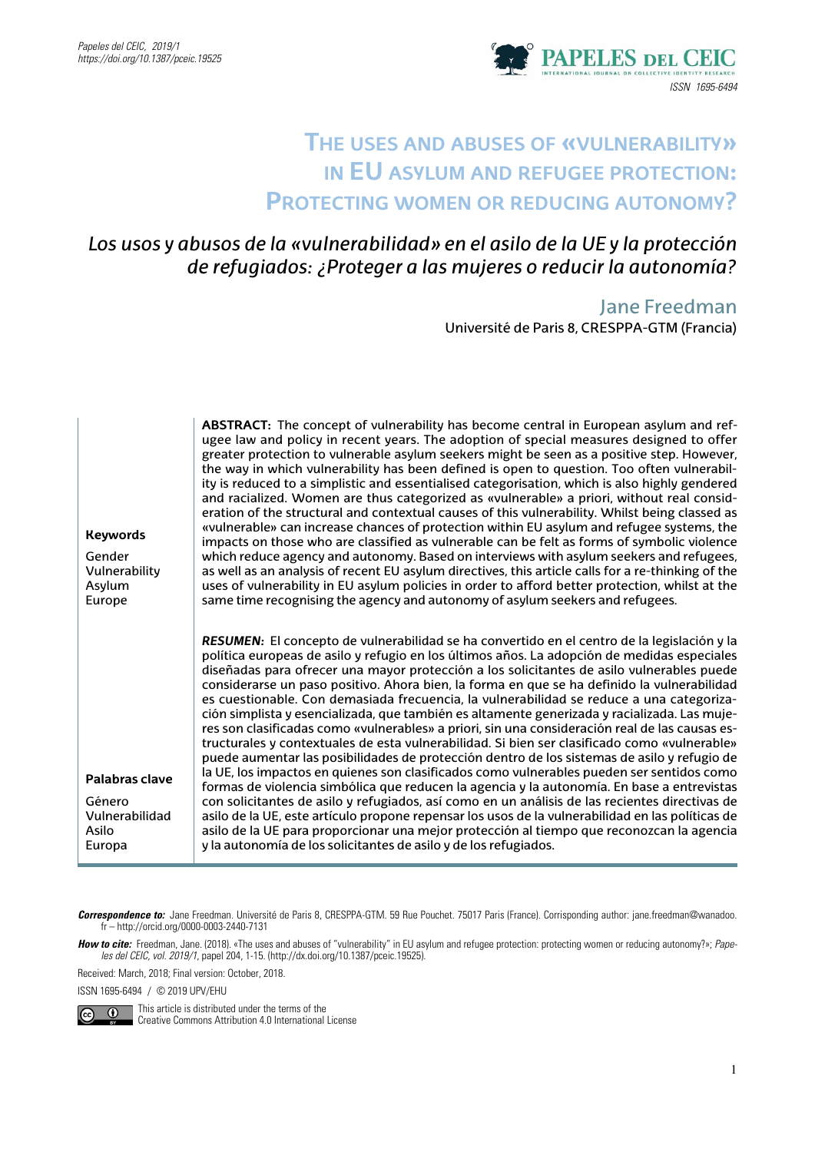

# **The uses and abuses of «vulnerability» in EU asylum and refugee protection: Protecting women or reducing autonomy?**

# *Los usos y abusos de la «vulnerabilidad» en el asilo de la UE y la protección de refugiados: ¿Proteger a las mujeres o reducir la autonomía?*

Jane Freedman Université de Paris 8, CRESPPA-GTM (Francia)

| <b>Keywords</b><br>Gender<br>Vulnerability<br>Asylum<br>Europe | ABSTRACT: The concept of vulnerability has become central in European asylum and ref-<br>ugee law and policy in recent years. The adoption of special measures designed to offer<br>greater protection to vulnerable asylum seekers might be seen as a positive step. However,<br>the way in which vulnerability has been defined is open to question. Too often vulnerabil-<br>ity is reduced to a simplistic and essentialised categorisation, which is also highly gendered<br>and racialized. Women are thus categorized as «vulnerable» a priori, without real consid-<br>eration of the structural and contextual causes of this vulnerability. Whilst being classed as<br>«vulnerable» can increase chances of protection within EU asylum and refugee systems, the<br>impacts on those who are classified as vulnerable can be felt as forms of symbolic violence<br>which reduce agency and autonomy. Based on interviews with asylum seekers and refugees,<br>as well as an analysis of recent EU asylum directives, this article calls for a re-thinking of the<br>uses of vulnerability in EU asylum policies in order to afford better protection, whilst at the<br>same time recognising the agency and autonomy of asylum seekers and refugees.                                                                                                                                                                                        |
|----------------------------------------------------------------|-------------------------------------------------------------------------------------------------------------------------------------------------------------------------------------------------------------------------------------------------------------------------------------------------------------------------------------------------------------------------------------------------------------------------------------------------------------------------------------------------------------------------------------------------------------------------------------------------------------------------------------------------------------------------------------------------------------------------------------------------------------------------------------------------------------------------------------------------------------------------------------------------------------------------------------------------------------------------------------------------------------------------------------------------------------------------------------------------------------------------------------------------------------------------------------------------------------------------------------------------------------------------------------------------------------------------------------------------------------------------------------------------------------------------------------------------------|
| Palabras clave<br>Género<br>Vulnerabilidad<br>Asilo<br>Europa  | RESUMEN: El concepto de vulnerabilidad se ha convertido en el centro de la legislación y la<br>política europeas de asilo y refugio en los últimos años. La adopción de medidas especiales<br>diseñadas para ofrecer una mayor protección a los solicitantes de asilo vulnerables puede<br>considerarse un paso positivo. Ahora bien, la forma en que se ha definido la vulnerabilidad<br>es cuestionable. Con demasiada frecuencia, la vulnerabilidad se reduce a una categoriza-<br>ción simplista y esencializada, que también es altamente generizada y racializada. Las muje-<br>res son clasificadas como «vulnerables» a priori, sin una consideración real de las causas es-<br>tructurales y contextuales de esta vulnerabilidad. Si bien ser clasificado como «vulnerable»<br>puede aumentar las posibilidades de protección dentro de los sistemas de asilo y refugio de<br>la UE, los impactos en quienes son clasificados como vulnerables pueden ser sentidos como<br>formas de violencia simbólica que reducen la agencia y la autonomía. En base a entrevistas<br>con solicitantes de asilo y refugiados, así como en un análisis de las recientes directivas de<br>asilo de la UE, este artículo propone repensar los usos de la vulnerabilidad en las políticas de<br>asilo de la UE para proporcionar una mejor protección al tiempo que reconozcan la agencia<br>y la autonomía de los solicitantes de asilo y de los refugiados. |

*Correspondence to:* Jane Freedman. Université de Paris 8, CRESPPA-GTM. 59 Rue Pouchet. 75017 Paris (France). Corrisponding author: jane.freedman@wanadoo. fr – http://orcid.org/0000-0003-2440-7131

How to cite: Freedman, Jane. (2018). «The uses and abuses of "vulnerability" in EU asylum and refugee protection: protecting women or reducing autonomy?»; Pape*les del CEIC, vol. 2019/1*, papel 204, 1-15. (http://dx.doi.org/10.1387/pceic.19525).

Received: March, 2018; Final version: October, 2018.

ISSN 1695-6494 / © 2019 UPV/EHU



 This article is distributed under the terms of the Creative Commons Attribution 4.0 International License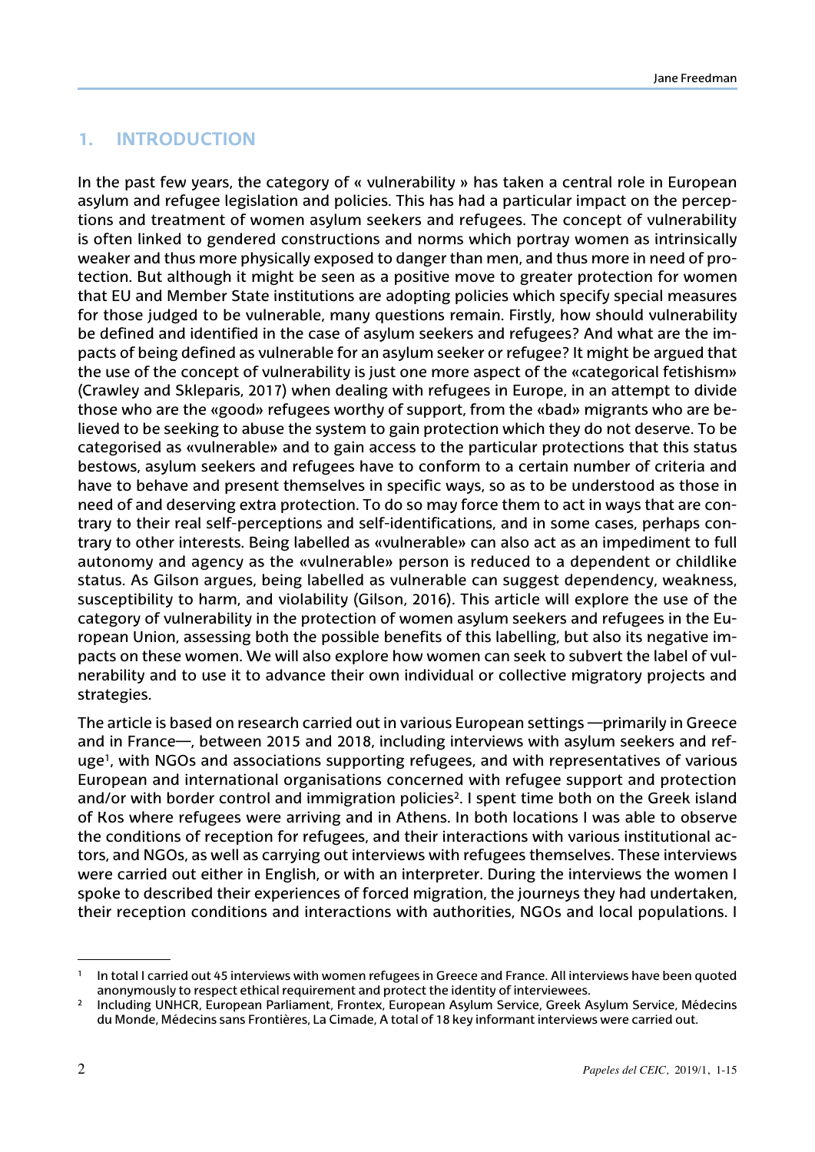#### **1. Introduction**

In the past few years, the category of « vulnerability » has taken a central role in European asylum and refugee legislation and policies. This has had a particular impact on the perceptions and treatment of women asylum seekers and refugees. The concept of vulnerability is often linked to gendered constructions and norms which portray women as intrinsically weaker and thus more physically exposed to danger than men, and thus more in need of protection. But although it might be seen as a positive move to greater protection for women that EU and Member State institutions are adopting policies which specify special measures for those judged to be vulnerable, many questions remain. Firstly, how should vulnerability be defined and identified in the case of asylum seekers and refugees? And what are the impacts of being defined as vulnerable for an asylum seeker or refugee? It might be argued that the use of the concept of vulnerability is just one more aspect of the «categorical fetishism» (Crawley and Skleparis, 2017) when dealing with refugees in Europe, in an attempt to divide those who are the «good» refugees worthy of support, from the «bad» migrants who are believed to be seeking to abuse the system to gain protection which they do not deserve. To be categorised as «vulnerable» and to gain access to the particular protections that this status bestows, asylum seekers and refugees have to conform to a certain number of criteria and have to behave and present themselves in specific ways, so as to be understood as those in need of and deserving extra protection. To do so may force them to act in ways that are contrary to their real self-perceptions and self-identifications, and in some cases, perhaps contrary to other interests. Being labelled as «vulnerable» can also act as an impediment to full autonomy and agency as the «vulnerable» person is reduced to a dependent or childlike status. As Gilson argues, being labelled as vulnerable can suggest dependency, weakness, susceptibility to harm, and violability (Gilson, 2016). This article will explore the use of the category of vulnerability in the protection of women asylum seekers and refugees in the European Union, assessing both the possible benefits of this labelling, but also its negative impacts on these women. We will also explore how women can seek to subvert the label of vulnerability and to use it to advance their own individual or collective migratory projects and strategies.

The article is based on research carried out in various European settings —primarily in Greece and in France—, between 2015 and 2018, including interviews with asylum seekers and refuge<sup>1</sup>, with NGOs and associations supporting refugees, and with representatives of various European and international organisations concerned with refugee support and protection and/or with border control and immigration policies<sup>2</sup>. I spent time both on the Greek island of Kos where refugees were arriving and in Athens. In both locations I was able to observe the conditions of reception for refugees, and their interactions with various institutional actors, and NGOs, as well as carrying out interviews with refugees themselves. These interviews were carried out either in English, or with an interpreter. During the interviews the women I spoke to described their experiences of forced migration, the journeys they had undertaken, their reception conditions and interactions with authorities, NGOs and local populations. I

In total I carried out 45 interviews with women refugees in Greece and France. All interviews have been quoted anonymously to respect ethical requirement and protect the identity of interviewees.

<sup>2</sup> Including UNHCR, European Parliament, Frontex, European Asylum Service, Greek Asylum Service, Médecins du Monde, Médecins sans Frontières, La Cimade, A total of 18 key informant interviews were carried out.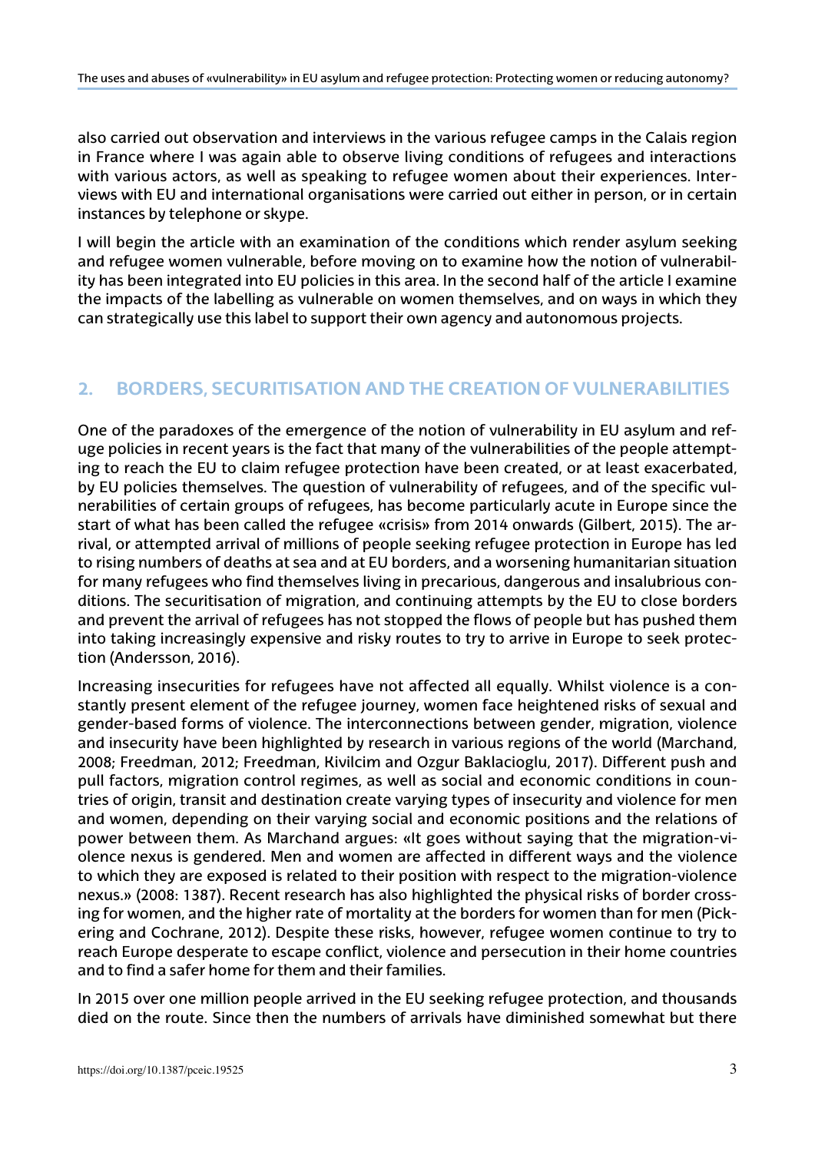also carried out observation and interviews in the various refugee camps in the Calais region in France where I was again able to observe living conditions of refugees and interactions with various actors, as well as speaking to refugee women about their experiences. Interviews with EU and international organisations were carried out either in person, or in certain instances by telephone or skype.

I will begin the article with an examination of the conditions which render asylum seeking and refugee women vulnerable, before moving on to examine how the notion of vulnerability has been integrated into EU policies in this area. In the second half of the article I examine the impacts of the labelling as vulnerable on women themselves, and on ways in which they can strategically use this label to support their own agency and autonomous projects.

## **2. Borders, Securitisation and the Creation of Vulnerabilities**

One of the paradoxes of the emergence of the notion of vulnerability in EU asylum and refuge policies in recent years is the fact that many of the vulnerabilities of the people attempting to reach the EU to claim refugee protection have been created, or at least exacerbated, by EU policies themselves. The question of vulnerability of refugees, and of the specific vulnerabilities of certain groups of refugees, has become particularly acute in Europe since the start of what has been called the refugee «crisis» from 2014 onwards (Gilbert, 2015). The arrival, or attempted arrival of millions of people seeking refugee protection in Europe has led to rising numbers of deaths at sea and at EU borders, and a worsening humanitarian situation for many refugees who find themselves living in precarious, dangerous and insalubrious conditions. The securitisation of migration, and continuing attempts by the EU to close borders and prevent the arrival of refugees has not stopped the flows of people but has pushed them into taking increasingly expensive and risky routes to try to arrive in Europe to seek protection (Andersson, 2016).

Increasing insecurities for refugees have not affected all equally. Whilst violence is a constantly present element of the refugee journey, women face heightened risks of sexual and gender-based forms of violence. The interconnections between gender, migration, violence and insecurity have been highlighted by research in various regions of the world (Marchand, 2008; Freedman, 2012; Freedman, Kivilcim and Ozgur Baklacioglu, 2017). Different push and pull factors, migration control regimes, as well as social and economic conditions in countries of origin, transit and destination create varying types of insecurity and violence for men and women, depending on their varying social and economic positions and the relations of power between them. As Marchand argues: «It goes without saying that the migration-violence nexus is gendered. Men and women are affected in different ways and the violence to which they are exposed is related to their position with respect to the migration-violence nexus.» (2008: 1387). Recent research has also highlighted the physical risks of border crossing for women, and the higher rate of mortality at the borders for women than for men (Pickering and Cochrane, 2012). Despite these risks, however, refugee women continue to try to reach Europe desperate to escape conflict, violence and persecution in their home countries and to find a safer home for them and their families.

In 2015 over one million people arrived in the EU seeking refugee protection, and thousands died on the route. Since then the numbers of arrivals have diminished somewhat but there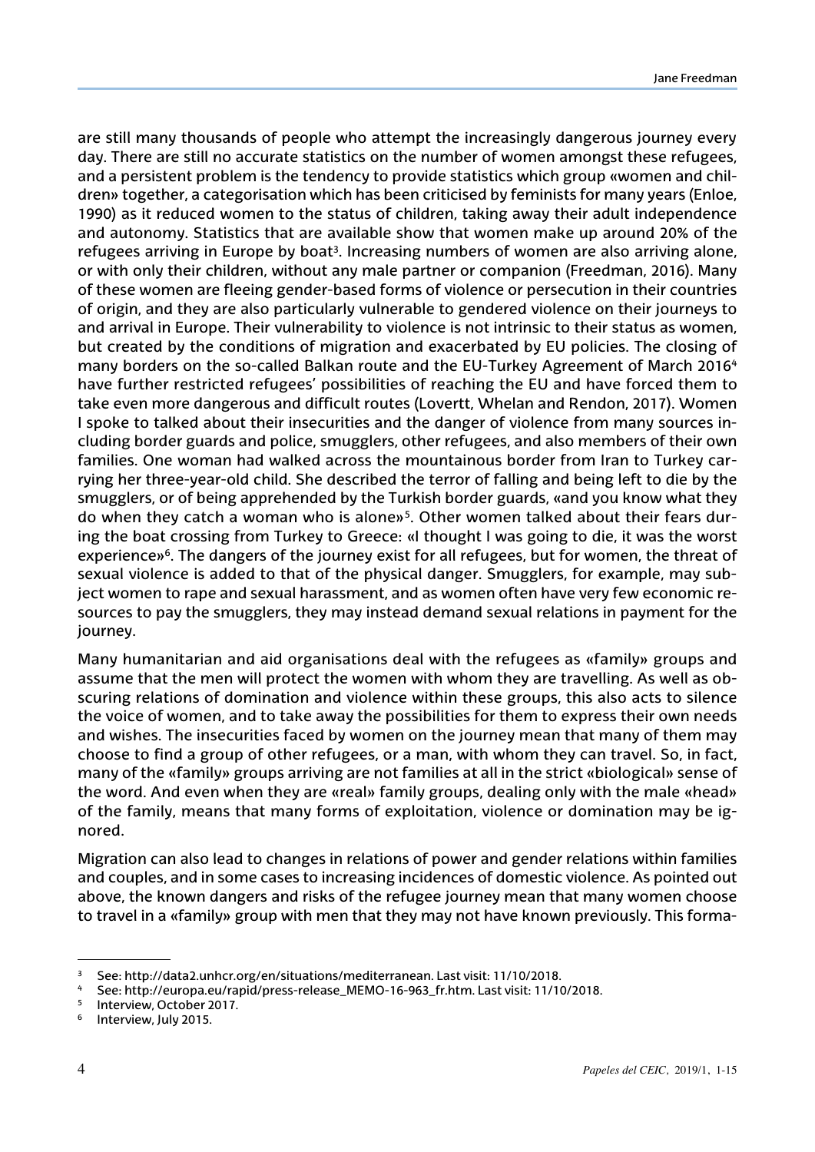are still many thousands of people who attempt the increasingly dangerous journey every day. There are still no accurate statistics on the number of women amongst these refugees, and a persistent problem is the tendency to provide statistics which group «women and children» together, a categorisation which has been criticised by feminists for many years (Enloe, 1990) as it reduced women to the status of children, taking away their adult independence and autonomy. Statistics that are available show that women make up around 20% of the refugees arriving in Europe by boat<sup>3</sup>. Increasing numbers of women are also arriving alone, or with only their children, without any male partner or companion (Freedman, 2016). Many of these women are fleeing gender-based forms of violence or persecution in their countries of origin, and they are also particularly vulnerable to gendered violence on their journeys to and arrival in Europe. Their vulnerability to violence is not intrinsic to their status as women, but created by the conditions of migration and exacerbated by EU policies. The closing of many borders on the so-called Balkan route and the EU-Turkey Agreement of March 2016<sup>4</sup> have further restricted refugees' possibilities of reaching the EU and have forced them to take even more dangerous and difficult routes (Lovertt, Whelan and Rendon, 2017). Women I spoke to talked about their insecurities and the danger of violence from many sources including border guards and police, smugglers, other refugees, and also members of their own families. One woman had walked across the mountainous border from Iran to Turkey carrying her three-year-old child. She described the terror of falling and being left to die by the smugglers, or of being apprehended by the Turkish border guards, «and you know what they do when they catch a woman who is alone»5. Other women talked about their fears during the boat crossing from Turkey to Greece: «I thought I was going to die, it was the worst experience»6. The dangers of the journey exist for all refugees, but for women, the threat of sexual violence is added to that of the physical danger. Smugglers, for example, may subject women to rape and sexual harassment, and as women often have very few economic resources to pay the smugglers, they may instead demand sexual relations in payment for the journey.

Many humanitarian and aid organisations deal with the refugees as «family» groups and assume that the men will protect the women with whom they are travelling. As well as obscuring relations of domination and violence within these groups, this also acts to silence the voice of women, and to take away the possibilities for them to express their own needs and wishes. The insecurities faced by women on the journey mean that many of them may choose to find a group of other refugees, or a man, with whom they can travel. So, in fact, many of the «family» groups arriving are not families at all in the strict «biological» sense of the word. And even when they are «real» family groups, dealing only with the male «head» of the family, means that many forms of exploitation, violence or domination may be ignored.

Migration can also lead to changes in relations of power and gender relations within families and couples, and in some cases to increasing incidences of domestic violence. As pointed out above, the known dangers and risks of the refugee journey mean that many women choose to travel in a «family» group with men that they may not have known previously. This forma-

<sup>3</sup> See: [http://data2.unhcr.org/en/situations/mediterranean.](http://data2.unhcr.org/en/situations/mediterranean) Last visit: 11/10/2018.

<sup>4</sup> See: [http://europa.eu/rapid/press-release\\_MEMO-16-963\\_fr.htm.](http://europa.eu/rapid/press-release_MEMO-16-963_fr.htm) Last visit: 11/10/2018.

Interview, October 2017.

<sup>6</sup> Interview, July 2015.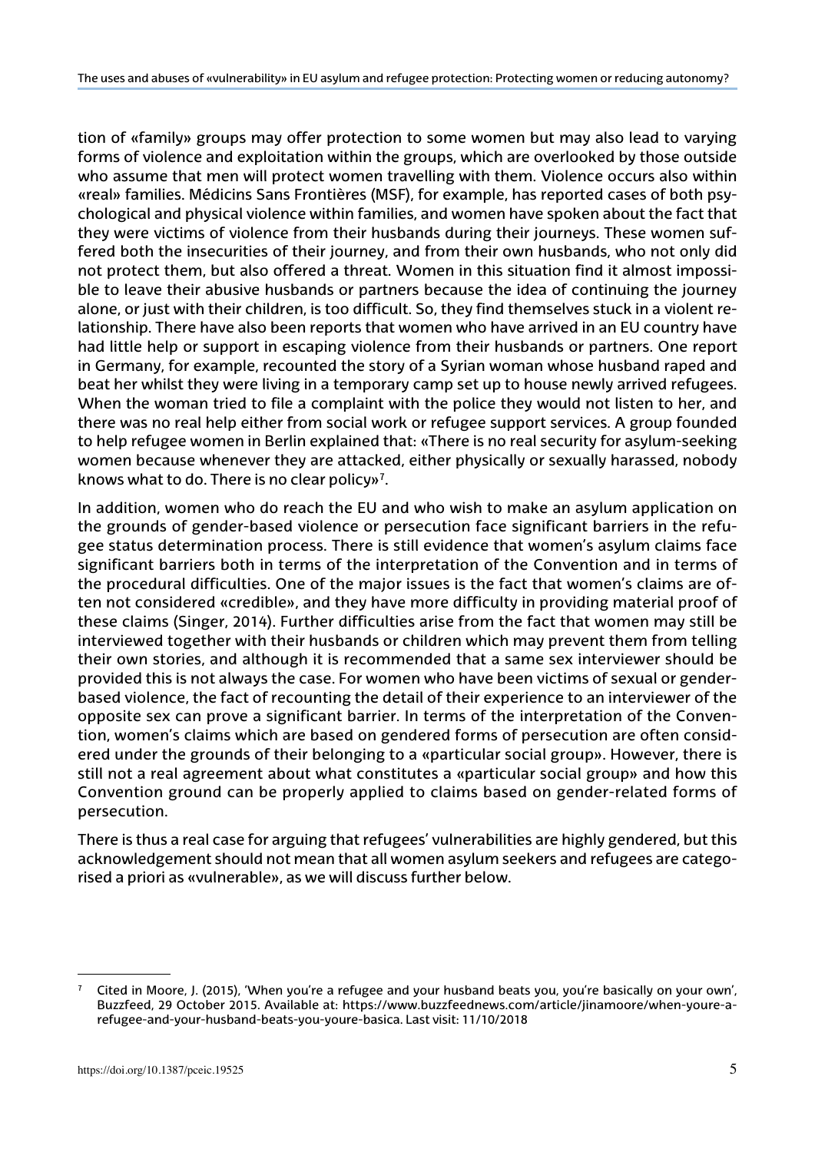tion of «family» groups may offer protection to some women but may also lead to varying forms of violence and exploitation within the groups, which are overlooked by those outside who assume that men will protect women travelling with them. Violence occurs also within «real» families. Médicins Sans Frontières (MSF), for example, has reported cases of both psychological and physical violence within families, and women have spoken about the fact that they were victims of violence from their husbands during their journeys. These women suffered both the insecurities of their journey, and from their own husbands, who not only did not protect them, but also offered a threat. Women in this situation find it almost impossible to leave their abusive husbands or partners because the idea of continuing the journey alone, or just with their children, is too difficult. So, they find themselves stuck in a violent relationship. There have also been reports that women who have arrived in an EU country have had little help or support in escaping violence from their husbands or partners. One report in Germany, for example, recounted the story of a Syrian woman whose husband raped and beat her whilst they were living in a temporary camp set up to house newly arrived refugees. When the woman tried to file a complaint with the police they would not listen to her, and there was no real help either from social work or refugee support services. A group founded to help refugee women in Berlin explained that: «There is no real security for asylum-seeking women because whenever they are attacked, either physically or sexually harassed, nobody knows what to do. There is no clear policy»7.

In addition, women who do reach the EU and who wish to make an asylum application on the grounds of gender-based violence or persecution face significant barriers in the refugee status determination process. There is still evidence that women's asylum claims face significant barriers both in terms of the interpretation of the Convention and in terms of the procedural difficulties. One of the major issues is the fact that women's claims are often not considered «credible», and they have more difficulty in providing material proof of these claims (Singer, 2014). Further difficulties arise from the fact that women may still be interviewed together with their husbands or children which may prevent them from telling their own stories, and although it is recommended that a same sex interviewer should be provided this is not always the case. For women who have been victims of sexual or genderbased violence, the fact of recounting the detail of their experience to an interviewer of the opposite sex can prove a significant barrier. In terms of the interpretation of the Convention, women's claims which are based on gendered forms of persecution are often considered under the grounds of their belonging to a «particular social group». However, there is still not a real agreement about what constitutes a «particular social group» and how this Convention ground can be properly applied to claims based on gender-related forms of persecution.

There is thus a real case for arguing that refugees' vulnerabilities are highly gendered, but this acknowledgement should not mean that all women asylum seekers and refugees are categorised a priori as «vulnerable», as we will discuss further below.

Cited in Moore, J. (2015), 'When you're a refugee and your husband beats you, you're basically on your own', Buzzfeed, 29 October 2015. Available at: [https://www.buzzfeednews.com/article/jinamoore/when-youre-a](https://www.buzzfeednews.com/article/jinamoore/when-youre-a-refugee-and-your-husband-beats-you-youre-basica)[refugee-and-your-husband-beats-you-youre-basica](https://www.buzzfeednews.com/article/jinamoore/when-youre-a-refugee-and-your-husband-beats-you-youre-basica). Last visit: 11/10/2018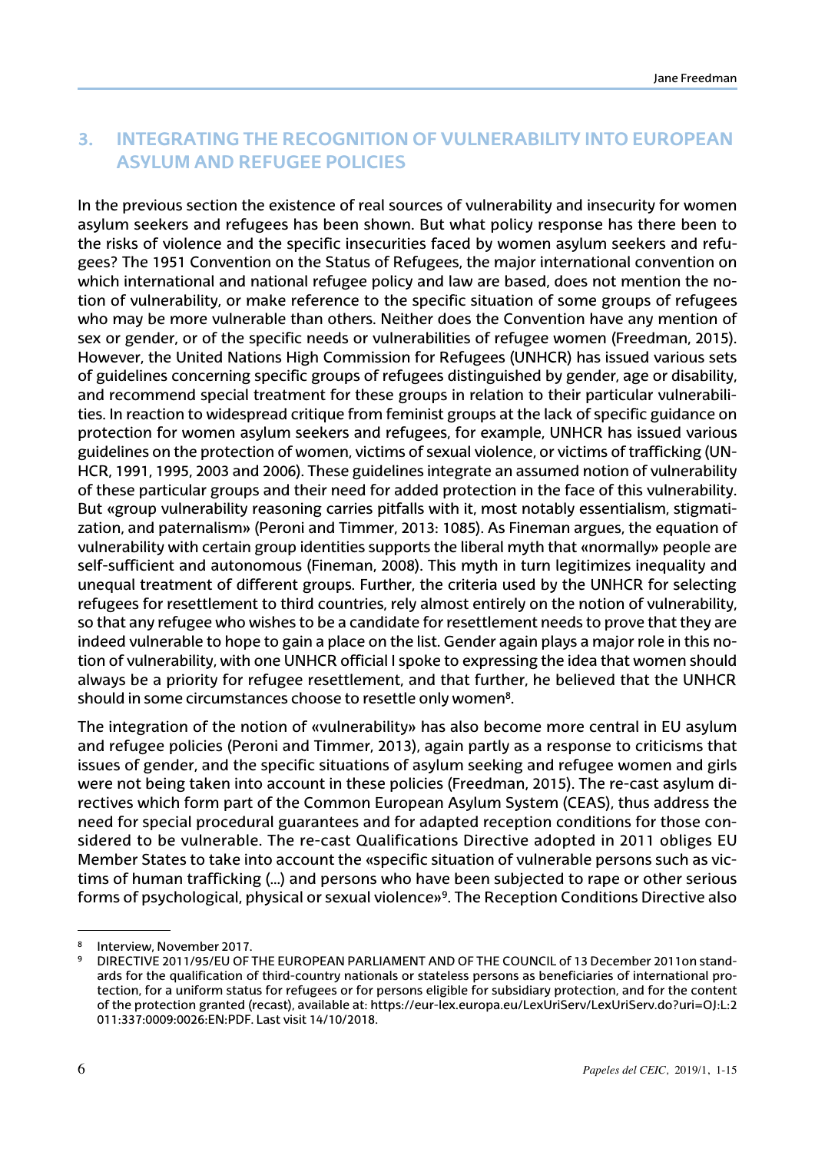#### **3. Integrating the recognition of vulnerability into European asylum and refugee policies**

In the previous section the existence of real sources of vulnerability and insecurity for women asylum seekers and refugees has been shown. But what policy response has there been to the risks of violence and the specific insecurities faced by women asylum seekers and refugees? The 1951 Convention on the Status of Refugees, the major international convention on which international and national refugee policy and law are based, does not mention the notion of vulnerability, or make reference to the specific situation of some groups of refugees who may be more vulnerable than others. Neither does the Convention have any mention of sex or gender, or of the specific needs or vulnerabilities of refugee women (Freedman, 2015). However, the United Nations High Commission for Refugees (UNHCR) has issued various sets of guidelines concerning specific groups of refugees distinguished by gender, age or disability, and recommend special treatment for these groups in relation to their particular vulnerabilities. In reaction to widespread critique from feminist groups at the lack of specific guidance on protection for women asylum seekers and refugees, for example, UNHCR has issued various guidelines on the protection of women, victims of sexual violence, or victims of trafficking (UN-HCR, 1991, 1995, 2003 and 2006). These guidelines integrate an assumed notion of vulnerability of these particular groups and their need for added protection in the face of this vulnerability. But «group vulnerability reasoning carries pitfalls with it, most notably essentialism, stigmatization, and paternalism» (Peroni and Timmer, 2013: 1085). As Fineman argues, the equation of vulnerability with certain group identities supports the liberal myth that «normally» people are self-sufficient and autonomous (Fineman, 2008). This myth in turn legitimizes inequality and unequal treatment of different groups. Further, the criteria used by the UNHCR for selecting refugees for resettlement to third countries, rely almost entirely on the notion of vulnerability, so that any refugee who wishes to be a candidate for resettlement needs to prove that they are indeed vulnerable to hope to gain a place on the list. Gender again plays a major role in this notion of vulnerability, with one UNHCR official I spoke to expressing the idea that women should always be a priority for refugee resettlement, and that further, he believed that the UNHCR should in some circumstances choose to resettle only women<sup>8</sup>.

The integration of the notion of «vulnerability» has also become more central in EU asylum and refugee policies (Peroni and Timmer, 2013), again partly as a response to criticisms that issues of gender, and the specific situations of asylum seeking and refugee women and girls were not being taken into account in these policies (Freedman, 2015). The re-cast asylum directives which form part of the Common European Asylum System (CEAS), thus address the need for special procedural guarantees and for adapted reception conditions for those considered to be vulnerable. The re-cast Qualifications Directive adopted in 2011 obliges EU Member States to take into account the «specific situation of vulnerable persons such as victims of human trafficking (…) and persons who have been subjected to rape or other serious forms of psychological, physical or sexual violence»9. The Reception Conditions Directive also

Interview, November 2017.

<sup>9</sup> DIRECTIVE 2011/95/EU OF THE EUROPEAN PARLIAMENT AND OF THE COUNCIL of 13 December 2011on standards for the qualification of third-country nationals or stateless persons as beneficiaries of international protection, for a uniform status for refugees or for persons eligible for subsidiary protection, and for the content of the protection granted (recast), available at: [https://eur-lex.europa.eu/LexUriServ/LexUriServ.do?uri=OJ:L:2](https://eur-lex.europa.eu/LexUriServ/LexUriServ.do?uri=OJ:L:2011:337:0009:0026:EN:PDF) [011:337:0009:0026:EN:PDF](https://eur-lex.europa.eu/LexUriServ/LexUriServ.do?uri=OJ:L:2011:337:0009:0026:EN:PDF). Last visit 14/10/2018.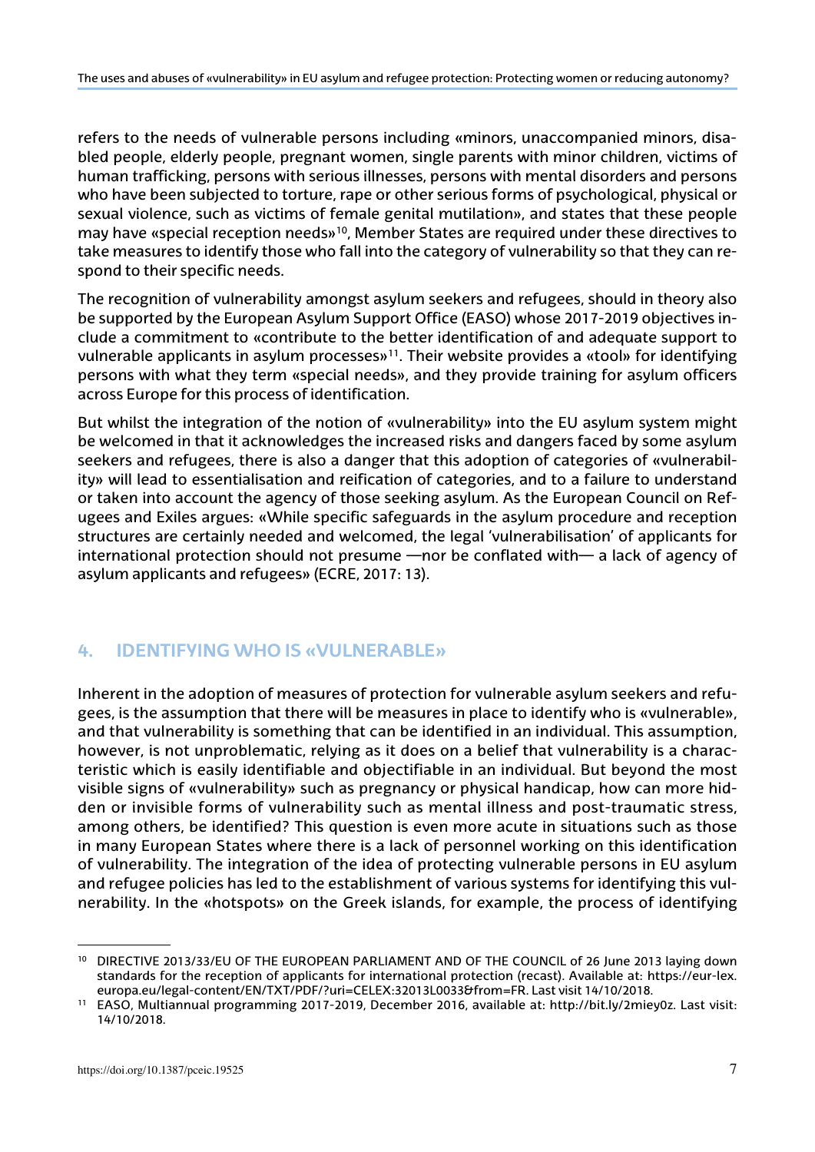refers to the needs of vulnerable persons including «minors, unaccompanied minors, disabled people, elderly people, pregnant women, single parents with minor children, victims of human trafficking, persons with serious illnesses, persons with mental disorders and persons who have been subjected to torture, rape or other serious forms of psychological, physical or sexual violence, such as victims of female genital mutilation», and states that these people may have «special reception needs»10, Member States are required under these directives to take measures to identify those who fall into the category of vulnerability so that they can respond to their specific needs.

The recognition of vulnerability amongst asylum seekers and refugees, should in theory also be supported by the European Asylum Support Office (EASO) whose 2017-2019 objectives include a commitment to «contribute to the better identification of and adequate support to vulnerable applicants in asylum processes»<sup>11</sup>. Their website provides a «tool» for identifying persons with what they term «special needs», and they provide training for asylum officers across Europe for this process of identification.

But whilst the integration of the notion of «vulnerability» into the EU asylum system might be welcomed in that it acknowledges the increased risks and dangers faced by some asylum seekers and refugees, there is also a danger that this adoption of categories of «vulnerability» will lead to essentialisation and reification of categories, and to a failure to understand or taken into account the agency of those seeking asylum. As the European Council on Refugees and Exiles argues: «While specific safeguards in the asylum procedure and reception structures are certainly needed and welcomed, the legal 'vulnerabilisation' of applicants for international protection should not presume —nor be conflated with— a lack of agency of asylum applicants and refugees» (ECRE, 2017: 13).

#### **4. Identifying who is «Vulnerable»**

Inherent in the adoption of measures of protection for vulnerable asylum seekers and refugees, is the assumption that there will be measures in place to identify who is «vulnerable», and that vulnerability is something that can be identified in an individual. This assumption, however, is not unproblematic, relying as it does on a belief that vulnerability is a characteristic which is easily identifiable and objectifiable in an individual. But beyond the most visible signs of «vulnerability» such as pregnancy or physical handicap, how can more hidden or invisible forms of vulnerability such as mental illness and post-traumatic stress, among others, be identified? This question is even more acute in situations such as those in many European States where there is a lack of personnel working on this identification of vulnerability. The integration of the idea of protecting vulnerable persons in EU asylum and refugee policies has led to the establishment of various systems for identifying this vulnerability. In the «hotspots» on the Greek islands, for example, the process of identifying

<sup>10</sup> DIRECTIVE 2013/33/EU OF THE EUROPEAN PARLIAMENT AND OF THE COUNCIL of 26 June 2013 laying down standards for the reception of applicants for international protection (recast). Available at: [https://eur-lex.](https://eur-lex.europa.eu/legal-content/EN/TXT/PDF/?uri=CELEX:32013L0033&from=FR) [europa.eu/legal-content/EN/TXT/PDF/?uri=CELEX:32013L0033&from=FR](https://eur-lex.europa.eu/legal-content/EN/TXT/PDF/?uri=CELEX:32013L0033&from=FR). Last visit 14/10/2018.

<sup>11</sup> EASO, Multiannual programming 2017-2019, December 2016, available at: [http://bit.ly/2miey0z.](http://bit.ly/2miey0z) Last visit: 14/10/2018.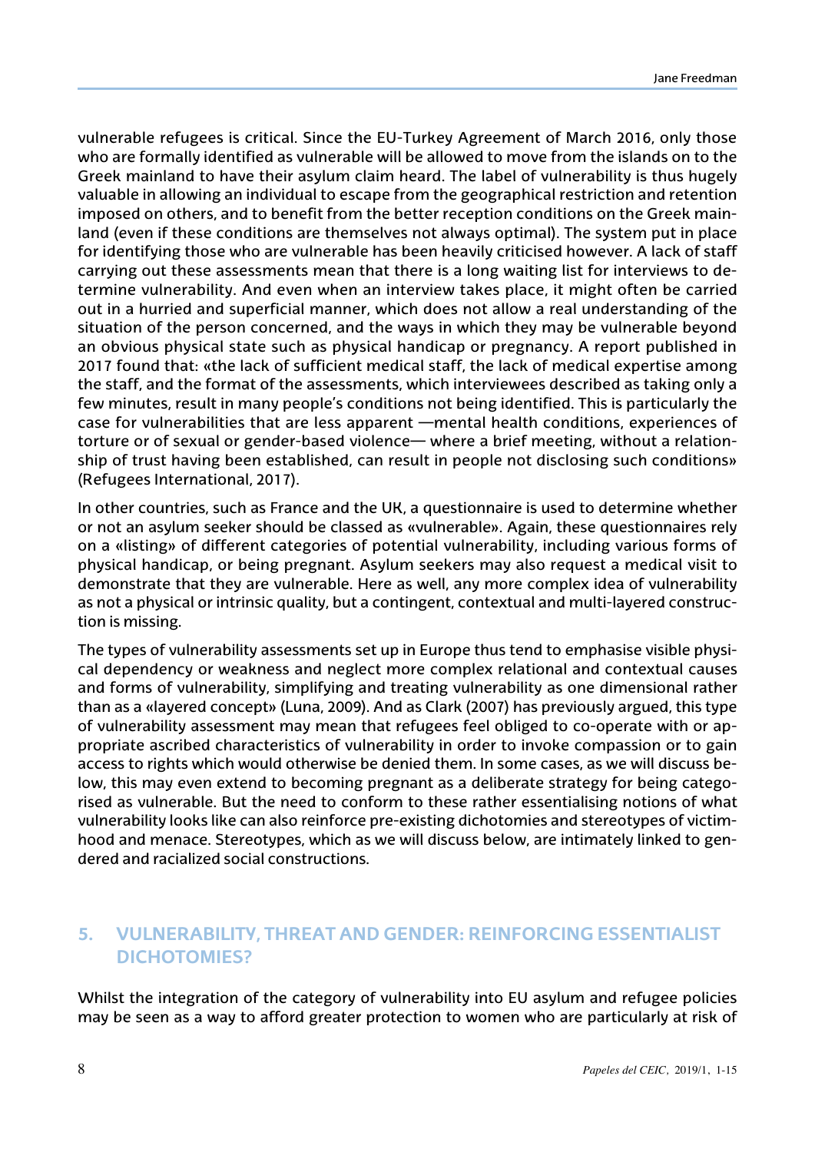vulnerable refugees is critical. Since the EU-Turkey Agreement of March 2016, only those who are formally identified as vulnerable will be allowed to move from the islands on to the Greek mainland to have their asylum claim heard. The label of vulnerability is thus hugely valuable in allowing an individual to escape from the geographical restriction and retention imposed on others, and to benefit from the better reception conditions on the Greek mainland (even if these conditions are themselves not always optimal). The system put in place for identifying those who are vulnerable has been heavily criticised however. A lack of staff carrying out these assessments mean that there is a long waiting list for interviews to determine vulnerability. And even when an interview takes place, it might often be carried out in a hurried and superficial manner, which does not allow a real understanding of the situation of the person concerned, and the ways in which they may be vulnerable beyond an obvious physical state such as physical handicap or pregnancy. A report published in 2017 found that: «the lack of sufficient medical staff, the lack of medical expertise among the staff, and the format of the assessments, which interviewees described as taking only a few minutes, result in many people's conditions not being identified. This is particularly the case for vulnerabilities that are less apparent —mental health conditions, experiences of torture or of sexual or gender-based violence— where a brief meeting, without a relationship of trust having been established, can result in people not disclosing such conditions» (Refugees International, 2017).

In other countries, such as France and the UK, a questionnaire is used to determine whether or not an asylum seeker should be classed as «vulnerable». Again, these questionnaires rely on a «listing» of different categories of potential vulnerability, including various forms of physical handicap, or being pregnant. Asylum seekers may also request a medical visit to demonstrate that they are vulnerable. Here as well, any more complex idea of vulnerability as not a physical or intrinsic quality, but a contingent, contextual and multi-layered construction is missing.

The types of vulnerability assessments set up in Europe thus tend to emphasise visible physical dependency or weakness and neglect more complex relational and contextual causes and forms of vulnerability, simplifying and treating vulnerability as one dimensional rather than as a «layered concept» (Luna, 2009). And as Clark (2007) has previously argued, this type of vulnerability assessment may mean that refugees feel obliged to co-operate with or appropriate ascribed characteristics of vulnerability in order to invoke compassion or to gain access to rights which would otherwise be denied them. In some cases, as we will discuss below, this may even extend to becoming pregnant as a deliberate strategy for being categorised as vulnerable. But the need to conform to these rather essentialising notions of what vulnerability looks like can also reinforce pre-existing dichotomies and stereotypes of victimhood and menace. Stereotypes, which as we will discuss below, are intimately linked to gendered and racialized social constructions.

## **5. Vulnerability, Threat and Gender: Reinforcing Essentialist Dichotomies?**

Whilst the integration of the category of vulnerability into EU asylum and refugee policies may be seen as a way to afford greater protection to women who are particularly at risk of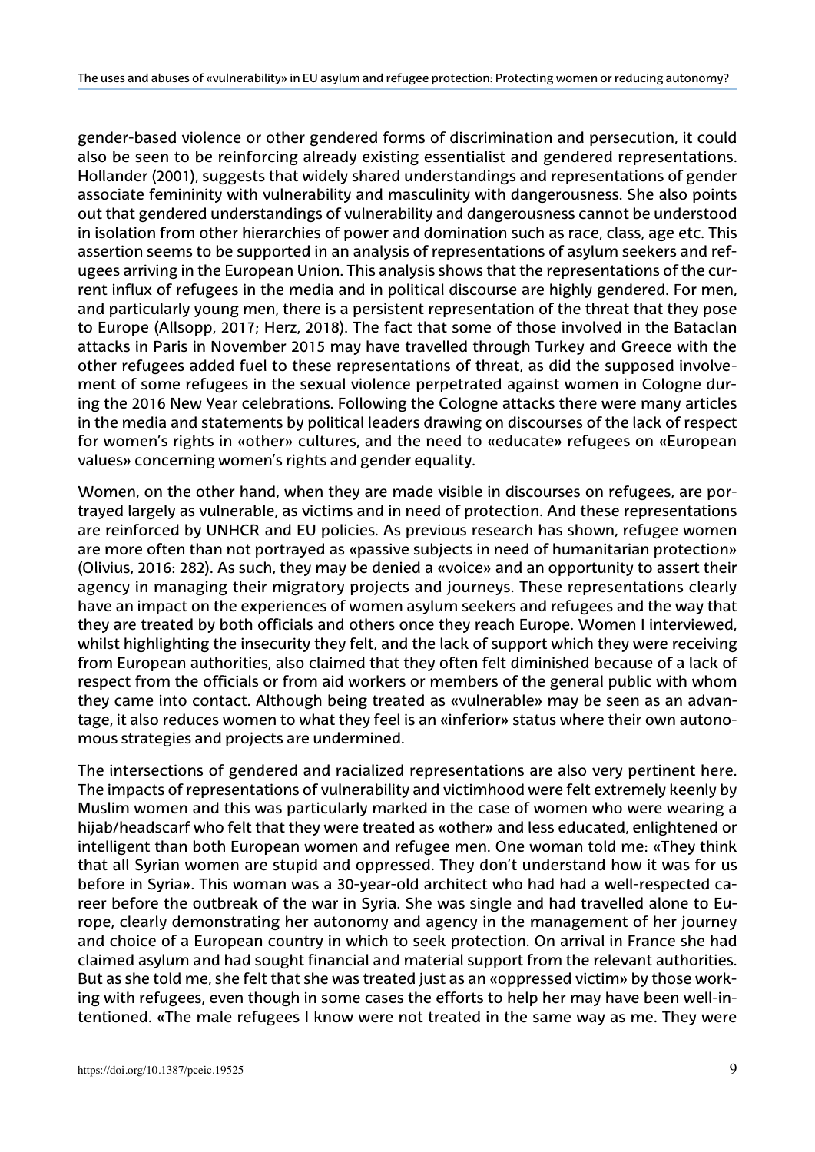gender-based violence or other gendered forms of discrimination and persecution, it could also be seen to be reinforcing already existing essentialist and gendered representations. Hollander (2001), suggests that widely shared understandings and representations of gender associate femininity with vulnerability and masculinity with dangerousness. She also points out that gendered understandings of vulnerability and dangerousness cannot be understood in isolation from other hierarchies of power and domination such as race, class, age etc. This assertion seems to be supported in an analysis of representations of asylum seekers and refugees arriving in the European Union. This analysis shows that the representations of the current influx of refugees in the media and in political discourse are highly gendered. For men, and particularly young men, there is a persistent representation of the threat that they pose to Europe (Allsopp, 2017; Herz, 2018). The fact that some of those involved in the Bataclan attacks in Paris in November 2015 may have travelled through Turkey and Greece with the other refugees added fuel to these representations of threat, as did the supposed involvement of some refugees in the sexual violence perpetrated against women in Cologne during the 2016 New Year celebrations. Following the Cologne attacks there were many articles in the media and statements by political leaders drawing on discourses of the lack of respect for women's rights in «other» cultures, and the need to «educate» refugees on «European values» concerning women's rights and gender equality.

Women, on the other hand, when they are made visible in discourses on refugees, are portrayed largely as vulnerable, as victims and in need of protection. And these representations are reinforced by UNHCR and EU policies. As previous research has shown, refugee women are more often than not portrayed as «passive subjects in need of humanitarian protection» (Olivius, 2016: 282). As such, they may be denied a «voice» and an opportunity to assert their agency in managing their migratory projects and journeys. These representations clearly have an impact on the experiences of women asylum seekers and refugees and the way that they are treated by both officials and others once they reach Europe. Women I interviewed, whilst highlighting the insecurity they felt, and the lack of support which they were receiving from European authorities, also claimed that they often felt diminished because of a lack of respect from the officials or from aid workers or members of the general public with whom they came into contact. Although being treated as «vulnerable» may be seen as an advantage, it also reduces women to what they feel is an «inferior» status where their own autonomous strategies and projects are undermined.

The intersections of gendered and racialized representations are also very pertinent here. The impacts of representations of vulnerability and victimhood were felt extremely keenly by Muslim women and this was particularly marked in the case of women who were wearing a hijab/headscarf who felt that they were treated as «other» and less educated, enlightened or intelligent than both European women and refugee men. One woman told me: «They think that all Syrian women are stupid and oppressed. They don't understand how it was for us before in Syria». This woman was a 30-year-old architect who had had a well-respected career before the outbreak of the war in Syria. She was single and had travelled alone to Europe, clearly demonstrating her autonomy and agency in the management of her journey and choice of a European country in which to seek protection. On arrival in France she had claimed asylum and had sought financial and material support from the relevant authorities. But as she told me, she felt that she was treated just as an «oppressed victim» by those working with refugees, even though in some cases the efforts to help her may have been well-intentioned. «The male refugees I know were not treated in the same way as me. They were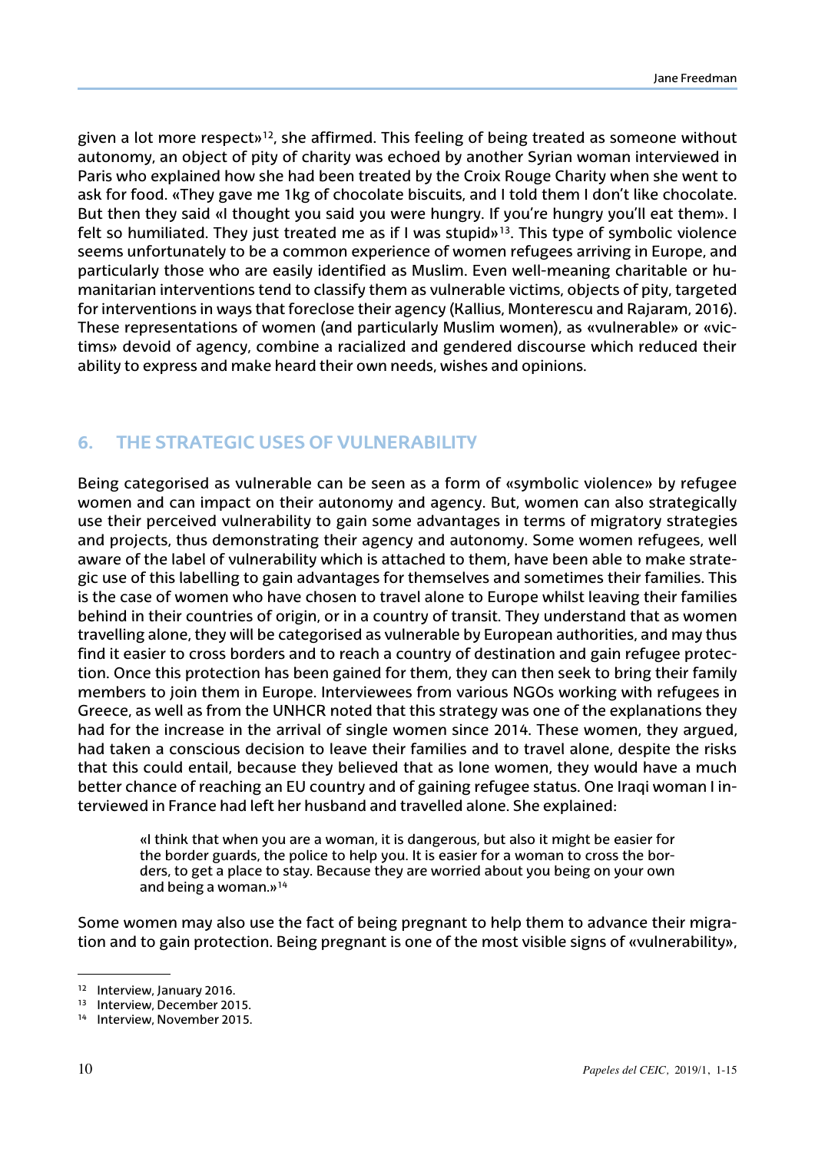given a lot more respect»<sup>12</sup>, she affirmed. This feeling of being treated as someone without autonomy, an object of pity of charity was echoed by another Syrian woman interviewed in Paris who explained how she had been treated by the Croix Rouge Charity when she went to ask for food. «They gave me 1kg of chocolate biscuits, and I told them I don't like chocolate. But then they said «I thought you said you were hungry. If you're hungry you'll eat them». I felt so humiliated. They just treated me as if I was stupid»<sup>13</sup>. This type of symbolic violence seems unfortunately to be a common experience of women refugees arriving in Europe, and particularly those who are easily identified as Muslim. Even well-meaning charitable or humanitarian interventions tend to classify them as vulnerable victims, objects of pity, targeted for interventions in ways that foreclose their agency (Kallius, Monterescu and Rajaram, 2016). These representations of women (and particularly Muslim women), as «vulnerable» or «victims» devoid of agency, combine a racialized and gendered discourse which reduced their ability to express and make heard their own needs, wishes and opinions.

# **6. The Strategic Uses of Vulnerability**

Being categorised as vulnerable can be seen as a form of «symbolic violence» by refugee women and can impact on their autonomy and agency. But, women can also strategically use their perceived vulnerability to gain some advantages in terms of migratory strategies and projects, thus demonstrating their agency and autonomy. Some women refugees, well aware of the label of vulnerability which is attached to them, have been able to make strategic use of this labelling to gain advantages for themselves and sometimes their families. This is the case of women who have chosen to travel alone to Europe whilst leaving their families behind in their countries of origin, or in a country of transit. They understand that as women travelling alone, they will be categorised as vulnerable by European authorities, and may thus find it easier to cross borders and to reach a country of destination and gain refugee protection. Once this protection has been gained for them, they can then seek to bring their family members to join them in Europe. Interviewees from various NGOs working with refugees in Greece, as well as from the UNHCR noted that this strategy was one of the explanations they had for the increase in the arrival of single women since 2014. These women, they argued, had taken a conscious decision to leave their families and to travel alone, despite the risks that this could entail, because they believed that as lone women, they would have a much better chance of reaching an EU country and of gaining refugee status. One Iraqi woman I interviewed in France had left her husband and travelled alone. She explained:

«I think that when you are a woman, it is dangerous, but also it might be easier for the border guards, the police to help you. It is easier for a woman to cross the borders, to get a place to stay. Because they are worried about you being on your own and being a woman.»14

Some women may also use the fact of being pregnant to help them to advance their migration and to gain protection. Being pregnant is one of the most visible signs of «vulnerability»,

<sup>12</sup> Interview, January 2016.

<sup>13</sup> Interview, December 2015.

<sup>14</sup> Interview, November 2015.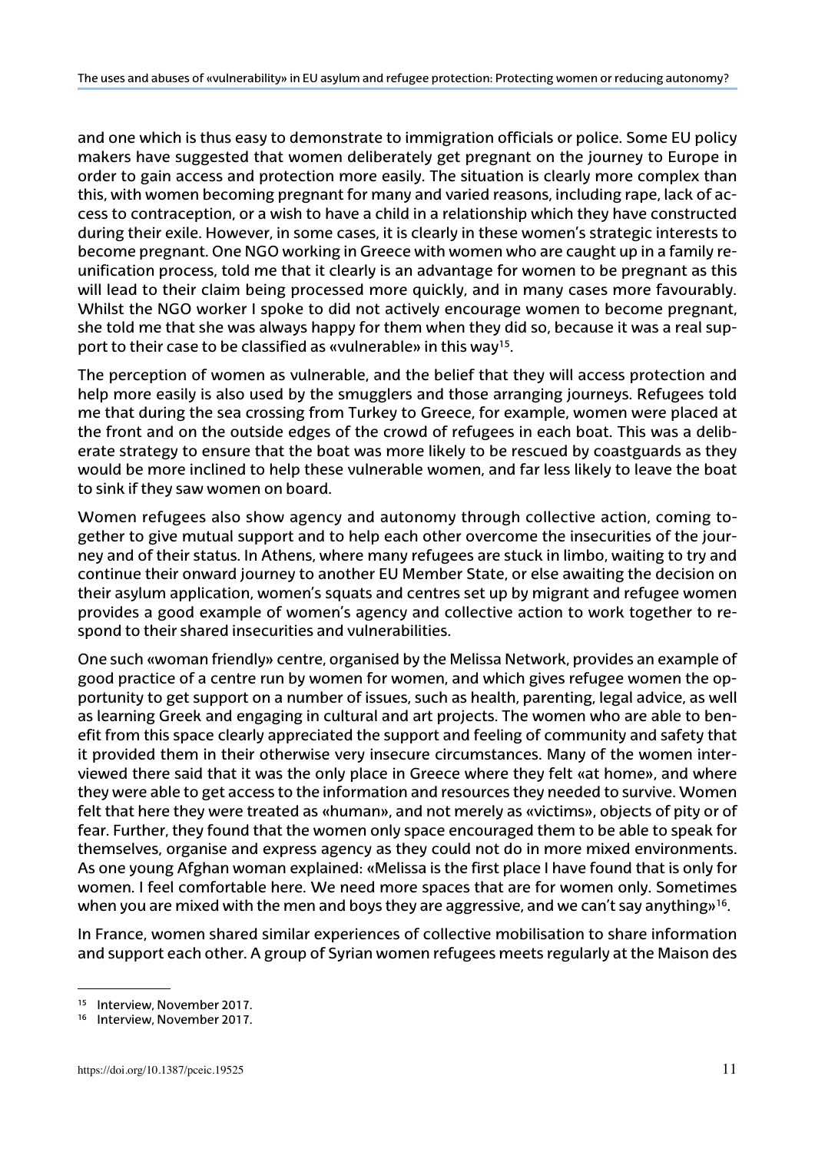and one which is thus easy to demonstrate to immigration officials or police. Some EU policy makers have suggested that women deliberately get pregnant on the journey to Europe in order to gain access and protection more easily. The situation is clearly more complex than this, with women becoming pregnant for many and varied reasons, including rape, lack of access to contraception, or a wish to have a child in a relationship which they have constructed during their exile. However, in some cases, it is clearly in these women's strategic interests to become pregnant. One NGO working in Greece with women who are caught up in a family reunification process, told me that it clearly is an advantage for women to be pregnant as this will lead to their claim being processed more quickly, and in many cases more favourably. Whilst the NGO worker I spoke to did not actively encourage women to become pregnant, she told me that she was always happy for them when they did so, because it was a real support to their case to be classified as «vulnerable» in this way15.

The perception of women as vulnerable, and the belief that they will access protection and help more easily is also used by the smugglers and those arranging journeys. Refugees told me that during the sea crossing from Turkey to Greece, for example, women were placed at the front and on the outside edges of the crowd of refugees in each boat. This was a deliberate strategy to ensure that the boat was more likely to be rescued by coastguards as they would be more inclined to help these vulnerable women, and far less likely to leave the boat to sink if they saw women on board.

Women refugees also show agency and autonomy through collective action, coming together to give mutual support and to help each other overcome the insecurities of the journey and of their status. In Athens, where many refugees are stuck in limbo, waiting to try and continue their onward journey to another EU Member State, or else awaiting the decision on their asylum application, women's squats and centres set up by migrant and refugee women provides a good example of women's agency and collective action to work together to respond to their shared insecurities and vulnerabilities.

One such «woman friendly» centre, organised by the Melissa Network, provides an example of good practice of a centre run by women for women, and which gives refugee women the opportunity to get support on a number of issues, such as health, parenting, legal advice, as well as learning Greek and engaging in cultural and art projects. The women who are able to benefit from this space clearly appreciated the support and feeling of community and safety that it provided them in their otherwise very insecure circumstances. Many of the women interviewed there said that it was the only place in Greece where they felt «at home», and where they were able to get access to the information and resources they needed to survive. Women felt that here they were treated as «human», and not merely as «victims», objects of pity or of fear. Further, they found that the women only space encouraged them to be able to speak for themselves, organise and express agency as they could not do in more mixed environments. As one young Afghan woman explained: «Melissa is the first place I have found that is only for women. I feel comfortable here. We need more spaces that are for women only. Sometimes when you are mixed with the men and boys they are aggressive, and we can't say anything<sup>16</sup>.

In France, women shared similar experiences of collective mobilisation to share information and support each other. A group of Syrian women refugees meets regularly at the Maison des

<sup>15</sup> Interview, November 2017.

<sup>16</sup> Interview, November 2017.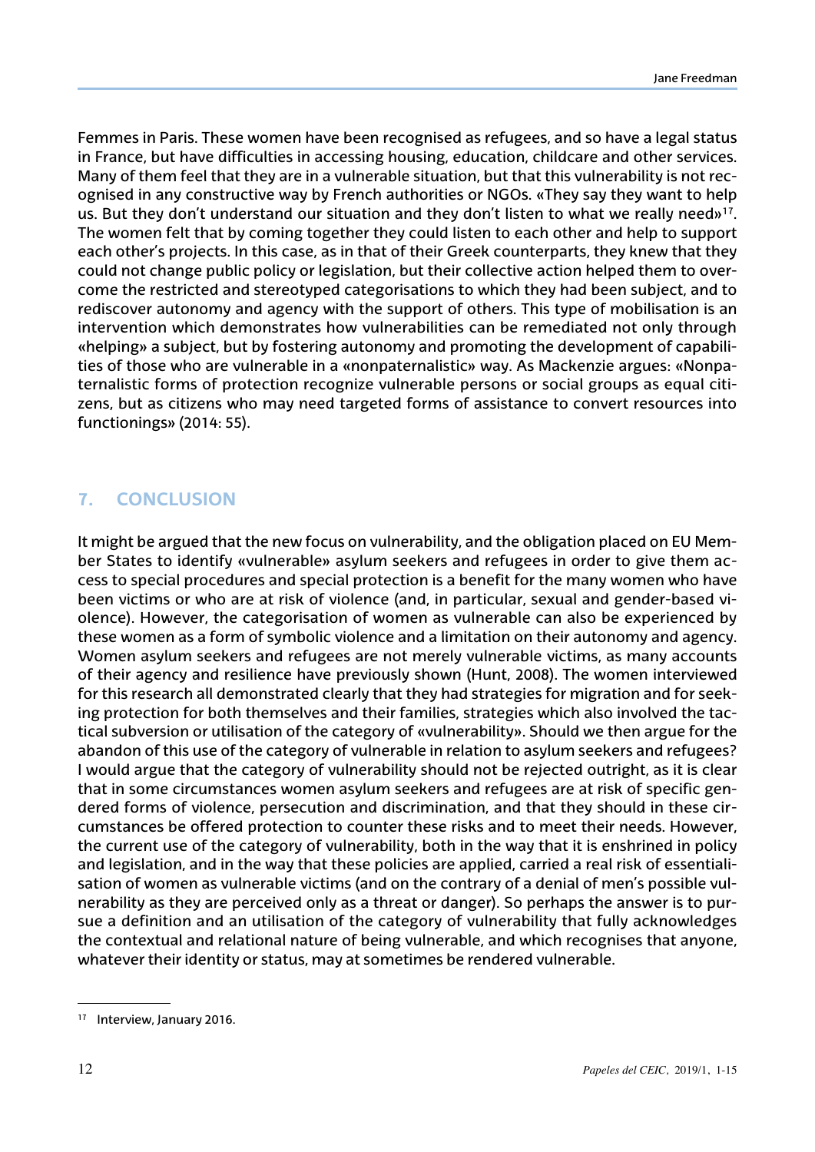Femmes in Paris. These women have been recognised as refugees, and so have a legal status in France, but have difficulties in accessing housing, education, childcare and other services. Many of them feel that they are in a vulnerable situation, but that this vulnerability is not recognised in any constructive way by French authorities or NGOs. «They say they want to help us. But they don't understand our situation and they don't listen to what we really need»<sup>17</sup>. The women felt that by coming together they could listen to each other and help to support each other's projects. In this case, as in that of their Greek counterparts, they knew that they could not change public policy or legislation, but their collective action helped them to overcome the restricted and stereotyped categorisations to which they had been subject, and to rediscover autonomy and agency with the support of others. This type of mobilisation is an intervention which demonstrates how vulnerabilities can be remediated not only through «helping» a subject, but by fostering autonomy and promoting the development of capabilities of those who are vulnerable in a «nonpaternalistic» way. As Mackenzie argues: «Nonpaternalistic forms of protection recognize vulnerable persons or social groups as equal citizens, but as citizens who may need targeted forms of assistance to convert resources into functionings» (2014: 55).

## **7. Conclusion**

It might be argued that the new focus on vulnerability, and the obligation placed on EU Member States to identify «vulnerable» asylum seekers and refugees in order to give them access to special procedures and special protection is a benefit for the many women who have been victims or who are at risk of violence (and, in particular, sexual and gender-based violence). However, the categorisation of women as vulnerable can also be experienced by these women as a form of symbolic violence and a limitation on their autonomy and agency. Women asylum seekers and refugees are not merely vulnerable victims, as many accounts of their agency and resilience have previously shown (Hunt, 2008). The women interviewed for this research all demonstrated clearly that they had strategies for migration and for seeking protection for both themselves and their families, strategies which also involved the tactical subversion or utilisation of the category of «vulnerability». Should we then argue for the abandon of this use of the category of vulnerable in relation to asylum seekers and refugees? I would argue that the category of vulnerability should not be rejected outright, as it is clear that in some circumstances women asylum seekers and refugees are at risk of specific gendered forms of violence, persecution and discrimination, and that they should in these circumstances be offered protection to counter these risks and to meet their needs. However, the current use of the category of vulnerability, both in the way that it is enshrined in policy and legislation, and in the way that these policies are applied, carried a real risk of essentialisation of women as vulnerable victims (and on the contrary of a denial of men's possible vulnerability as they are perceived only as a threat or danger). So perhaps the answer is to pursue a definition and an utilisation of the category of vulnerability that fully acknowledges the contextual and relational nature of being vulnerable, and which recognises that anyone, whatever their identity or status, may at sometimes be rendered vulnerable.

<sup>&</sup>lt;sup>17</sup> Interview, January 2016.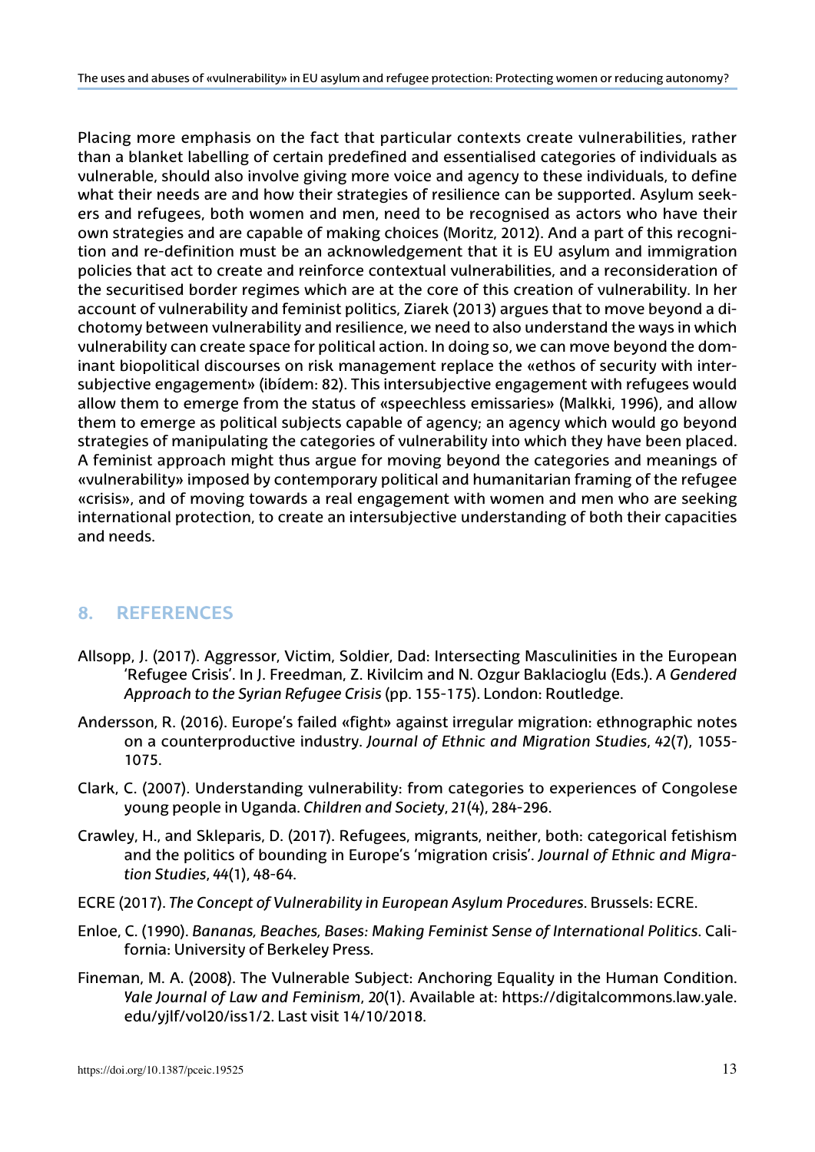Placing more emphasis on the fact that particular contexts create vulnerabilities, rather than a blanket labelling of certain predefined and essentialised categories of individuals as vulnerable, should also involve giving more voice and agency to these individuals, to define what their needs are and how their strategies of resilience can be supported. Asylum seekers and refugees, both women and men, need to be recognised as actors who have their own strategies and are capable of making choices (Moritz, 2012). And a part of this recognition and re-definition must be an acknowledgement that it is EU asylum and immigration policies that act to create and reinforce contextual vulnerabilities, and a reconsideration of the securitised border regimes which are at the core of this creation of vulnerability. In her account of vulnerability and feminist politics, Ziarek (2013) argues that to move beyond a dichotomy between vulnerability and resilience, we need to also understand the ways in which vulnerability can create space for political action. In doing so, we can move beyond the dominant biopolitical discourses on risk management replace the «ethos of security with intersubjective engagement» (ibídem: 82). This intersubjective engagement with refugees would allow them to emerge from the status of «speechless emissaries» (Malkki, 1996), and allow them to emerge as political subjects capable of agency; an agency which would go beyond strategies of manipulating the categories of vulnerability into which they have been placed. A feminist approach might thus argue for moving beyond the categories and meanings of «vulnerability» imposed by contemporary political and humanitarian framing of the refugee «crisis», and of moving towards a real engagement with women and men who are seeking international protection, to create an intersubjective understanding of both their capacities and needs.

#### **8. References**

- Allsopp, J. (2017). Aggressor, Victim, Soldier, Dad: Intersecting Masculinities in the European 'Refugee Crisis'. In J. Freedman, Z. Kivilcim and N. Ozgur Baklacioglu (Eds.). *A Gendered Approach to the Syrian Refugee Crisis* (pp. 155-175). London: Routledge.
- Andersson, R. (2016). Europe's failed «fight» against irregular migration: ethnographic notes on a counterproductive industry. *Journal of Ethnic and Migration Studies*, *42*(7), 1055- 1075.
- Clark, C. (2007). Understanding vulnerability: from categories to experiences of Congolese young people in Uganda. *Children and Society*, *21*(4), 284-296.
- Crawley, H., and Skleparis, D. (2017). Refugees, migrants, neither, both: categorical fetishism and the politics of bounding in Europe's 'migration crisis'. *Journal of Ethnic and Migration Studies*, *44*(1), 48-64.
- ECRE (2017). *The Concept of Vulnerability in European Asylum Procedures*. Brussels: ECRE.
- Enloe, C. (1990). *Bananas, Beaches, Bases: Making Feminist Sense of International Politics*. California: University of Berkeley Press.
- Fineman, M. A. (2008). The Vulnerable Subject: Anchoring Equality in the Human Condition. *Yale Journal of Law and Feminism*, *20*(1). Available at: [https://digitalcommons.law.yale.](https://digitalcommons.law.yale.edu/yjlf/vol20/iss1/2) [edu/yjlf/vol20/iss1/2.](https://digitalcommons.law.yale.edu/yjlf/vol20/iss1/2) Last visit 14/10/2018.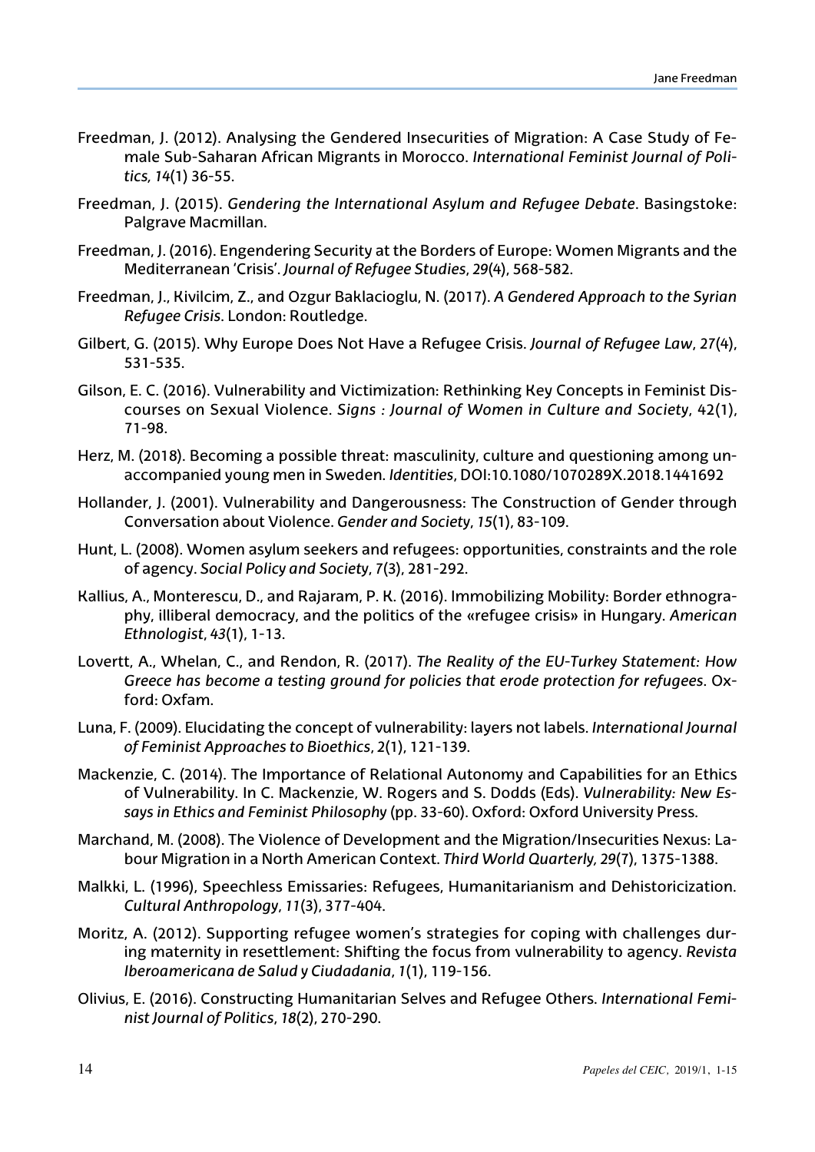- Freedman, J. (2012). Analysing the Gendered Insecurities of Migration: A Case Study of Female Sub-Saharan African Migrants in Morocco. *International Feminist Journal of Politics, 14*(1) 36-55.
- Freedman, J. (2015). *Gendering the International Asylum and Refugee Debate*. Basingstoke: Palgrave Macmillan.
- Freedman, J. (2016). Engendering Security at the Borders of Europe: Women Migrants and the Mediterranean 'Crisis'. *Journal of Refugee Studies*, *29*(4), 568-582.
- Freedman, J., Kivilcim, Z., and Ozgur Baklacioglu, N. (2017). *A Gendered Approach to the Syrian Refugee Crisis*. London: Routledge.
- Gilbert, G. (2015). Why Europe Does Not Have a Refugee Crisis. *Journal of Refugee Law*, *27*(4), 531-535.
- Gilson, E. C. (2016). Vulnerability and Victimization: Rethinking Key Concepts in Feminist Discourses on Sexual Violence. *Signs : Journal of Women in Culture and Society*, 42(1), 71-98.
- Herz, M. (2018). Becoming a possible threat: masculinity, culture and questioning among unaccompanied young men in Sweden. *Identities*, DOI:10.1080/1070289X.2018.1441692
- Hollander, J. (2001). Vulnerability and Dangerousness: The Construction of Gender through Conversation about Violence. *Gender and Society*, *15*(1), 83-109.
- Hunt, L. (2008). Women asylum seekers and refugees: opportunities, constraints and the role of agency. *Social Policy and Society*, *7*(3), 281-292.
- Kallius, A., Monterescu, D., and Rajaram, P. K. (2016). Immobilizing Mobility: Border ethnography, illiberal democracy, and the politics of the «refugee crisis» in Hungary. *American Ethnologist*, *43*(1), 1-13.
- Lovertt, A., Whelan, C., and Rendon, R. (2017). *The Reality of the EU-Turkey Statement: How Greece has become a testing ground for policies that erode protection for refugees*. Oxford: Oxfam.
- Luna, F. (2009). Elucidating the concept of vulnerability: layers not labels. *International Journal of Feminist Approaches to Bioethics*, *2*(1), 121-139.
- Mackenzie, C. (2014). The Importance of Relational Autonomy and Capabilities for an Ethics of Vulnerability. In C. Mackenzie, W. Rogers and S. Dodds (Eds). *Vulnerability: New Essays in Ethics and Feminist Philosophy* (pp. 33-60). Oxford: Oxford University Press.
- Marchand, M. (2008). The Violence of Development and the Migration/Insecurities Nexus: Labour Migration in a North American Context. *Third World Quarterly, 29*(7), 1375-1388.
- Malkki, L. (1996), Speechless Emissaries: Refugees, Humanitarianism and Dehistoricization. *Cultural Anthropology*, *11*(3), 377-404.
- Moritz, A. (2012). Supporting refugee women's strategies for coping with challenges during maternity in resettlement: Shifting the focus from vulnerability to agency. *Revista Iberoamericana de Salud y Ciudadania*, *1*(1), 119-156.
- Olivius, E. (2016). Constructing Humanitarian Selves and Refugee Others. *International Feminist Journal of Politics*, *18*(2), 270-290.